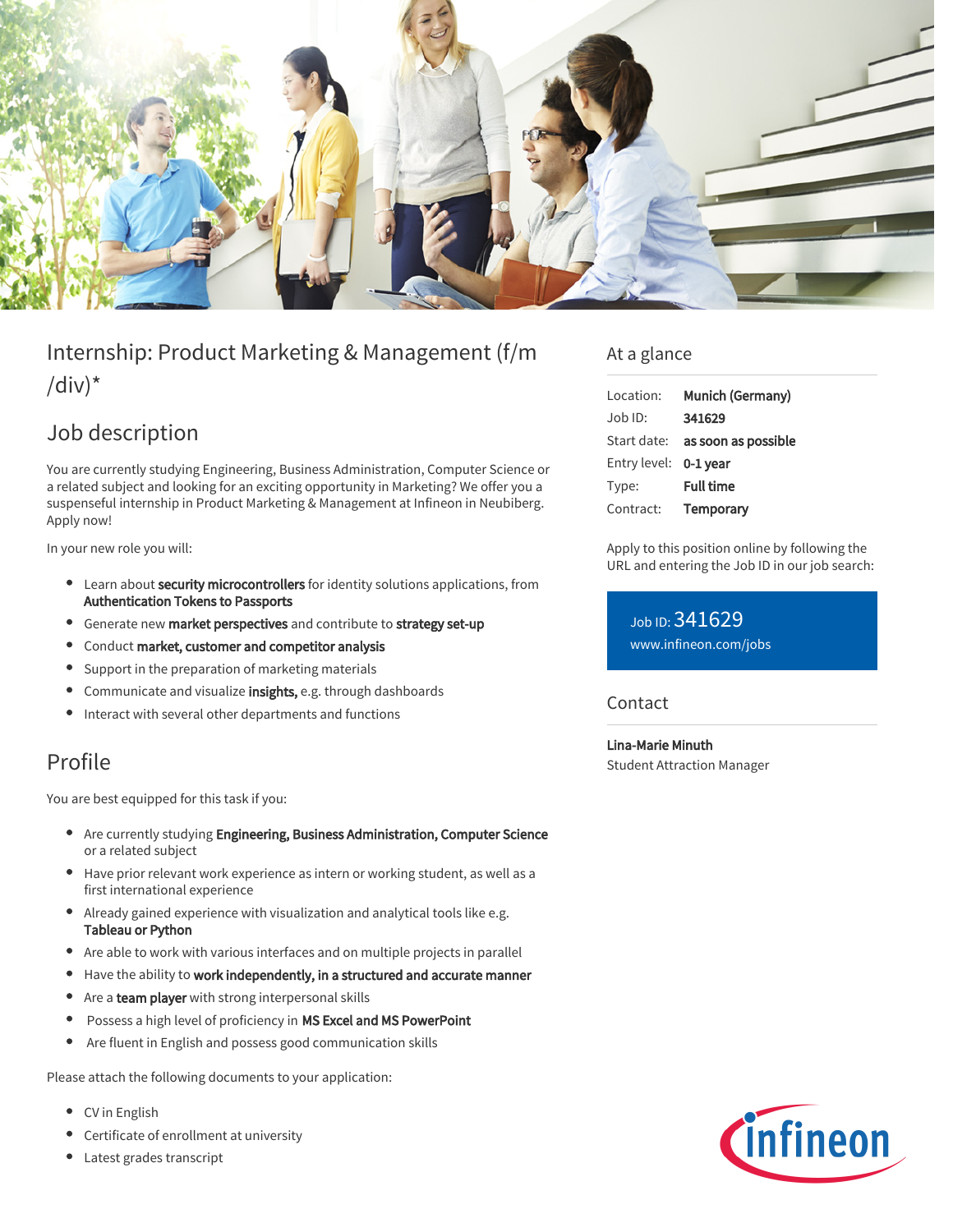

# Internship: Product Marketing & Management (f/m /div) $*$

## Job description

You are currently studying Engineering, Business Administration, Computer Science or a related subject and looking for an exciting opportunity in Marketing? We offer you a suspenseful internship in Product Marketing & Management at Infineon in Neubiberg. Apply now!

In your new role you will:

- Learn about security microcontrollers for identity solutions applications, from Authentication Tokens to Passports
- **•** Generate new market perspectives and contribute to strategy set-up
- Conduct market, customer and competitor analysis
- $\bullet$ Support in the preparation of marketing materials
- **Communicate and visualize insights, e.g. through dashboards**
- Interact with several other departments and functions

### Profile

You are best equipped for this task if you:

- $\bullet$ Are currently studying Engineering, Business Administration, Computer Science or a related subject
- Have prior relevant work experience as intern or working student, as well as a first international experience
- Already gained experience with visualization and analytical tools like e.g. Tableau or Python
- Are able to work with various interfaces and on multiple projects in parallel
- Have the ability to work independently, in a structured and accurate manner
- $\bullet$ Are a **team player** with strong interpersonal skills
- Possess a high level of proficiency in MS Excel and MS PowerPoint  $\bullet$
- $\bullet$ Are fluent in English and possess good communication skills

Please attach the following documents to your application:

- CV in English
- Certificate of enrollment at university
- Latest grades transcript

### At a glance

| Location:             | Munich (Germany)                       |
|-----------------------|----------------------------------------|
| $Job$ ID:             | 341629                                 |
|                       | Start date: <b>as soon as possible</b> |
| Entry level: 0-1 year |                                        |
| Type:                 | <b>Full time</b>                       |
| Contract:             | Temporary                              |

Apply to this position online by following the URL and entering the Job ID in our job search:

Job ID: 341629 [www.infineon.com/jobs](https://www.infineon.com/jobs)

#### **Contact**

Lina-Marie Minuth Student Attraction Manager